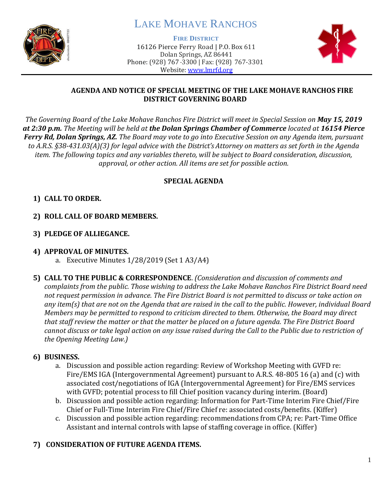

# LAKE MOHAVE RANCHOS

**FIRE DISTRICT**

16126 Pierce Ferry Road | P.O. Box 611 Dolan Springs, AZ 86441 Phone: (928) 767-3300 | Fax: (928) 767-3301 Website: [www.lmrfd.org](http://www.lmrfd.org/)



## **AGENDA AND NOTICE OF SPECIAL MEETING OF THE LAKE MOHAVE RANCHOS FIRE DISTRICT GOVERNING BOARD**

*The Governing Board of the Lake Mohave Ranchos Fire District will meet in Special Session on May 15, 2019 at 2:30 p.m. The Meeting will be held at the Dolan Springs Chamber of Commerce located at 16154 Pierce Ferry Rd, Dolan Springs, AZ. The Board may vote to go into Executive Session on any Agenda item, pursuant to A.R.S. §38-431.03(A)(3) for legal advice with the District's Attorney on matters as set forth in the Agenda item. The following topics and any variables thereto, will be subject to Board consideration, discussion, approval, or other action. All items are set for possible action.*

# **SPECIAL AGENDA**

# **1) CALL TO ORDER.**

- **2) ROLL CALL OF BOARD MEMBERS.**
- **3) PLEDGE OF ALLIEGANCE.**

## **4) APPROVAL OF MINUTES.**

- a. Executive Minutes 1/28/2019 (Set 1 A3/A4)
- **5) CALL TO THE PUBLIC & CORRESPONDENCE**. *(Consideration and discussion of comments and complaints from the public. Those wishing to address the Lake Mohave Ranchos Fire District Board need not request permission in advance. The Fire District Board is not permitted to discuss or take action on any item(s) that are not on the Agenda that are raised in the call to the public. However, individual Board Members may be permitted to respond to criticism directed to them. Otherwise, the Board may direct that staff review the matter or that the matter be placed on a future agenda. The Fire District Board cannot discuss or take legal action on any issue raised during the Call to the Public due to restriction of the Opening Meeting Law.)*

## **6) BUSINESS.**

- a. Discussion and possible action regarding: Review of Workshop Meeting with GVFD re: Fire/EMS IGA (Intergovernmental Agreement) pursuant to A.R.S. 48-805 16 (a) and (c) with associated cost/negotiations of IGA (Intergovernmental Agreement) for Fire/EMS services with GVFD; potential process to fill Chief position vacancy during interim. (Board)
- b. Discussion and possible action regarding: Information for Part-Time Interim Fire Chief/Fire Chief or Full-Time Interim Fire Chief/Fire Chief re: associated costs/benefits. (Kiffer)
- c. Discussion and possible action regarding: recommendations from CPA; re: Part-Time Office Assistant and internal controls with lapse of staffing coverage in office. (Kiffer)

# **7) CONSIDERATION OF FUTURE AGENDA ITEMS.**